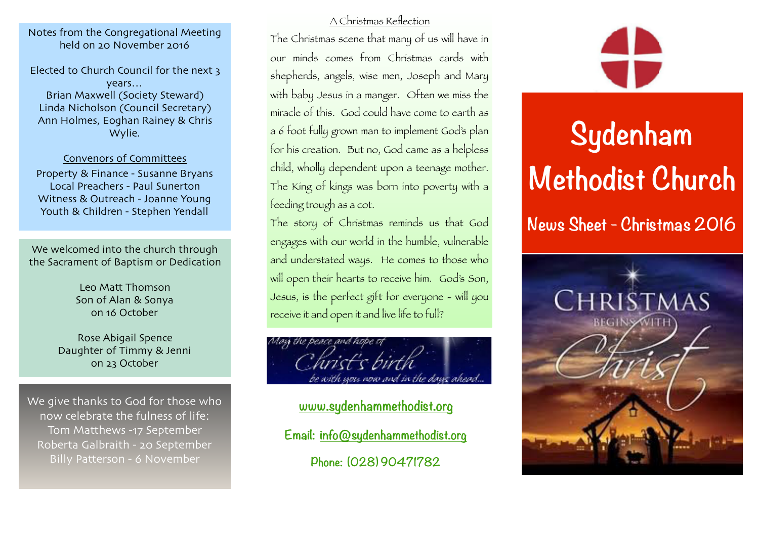Notes from the Congregational Meeting held on 20 November 2016

Elected to Church Council for the next 3 years… Brian Maxwell (Society Steward) Linda Nicholson (Council Secretary) Ann Holmes, Eoghan Rainey & Chris Wylie.

#### Convenors of Committees

Property & Finance - Susanne Bryans Local Preachers - Paul Sunerton Witness & Outreach - Joanne Young Youth & Children - Stephen Yendall

We welcomed into the church through the Sacrament of Baptism or Dedication

> Leo Matt Thomson Son of Alan & Sonya on 16 October

Rose Abigail Spence Daughter of Timmy & Jenni on 23 October

We give thanks to God for those who now celebrate the fulness of life: Tom Matthews -17 September Roberta Galbraith - 20 September Billy Patterson - 6 November

### A Christmas Reflection

The Christmas scene that many of us will have in our minds comes from Christmas cards with shepherds, angels, wise men, Joseph and Mary with baby Jesus in a manger. Often we miss the miracle of this. God could have come to earth as a 6 foot fully grown man to implement God's plan for his creation. But no, God came as a helpless child, wholly dependent upon a teenage mother. The King of kings was born into poverty with a feeding trough as a cot.

The story of Christmas reminds us that God engages with our world in the humble, vulnerable and understated ways. He comes to those who will open their hearts to receive him. God's Son, Jesus, is the perfect gift for everyone - will you receive it and open it and live life to full?



**[www.sydenhammethodist.org](http://www.sydenhammethodist.org) Email: [info@sydenhammethodist.org](mailto:info@sydenhammethodist.org) Phone: (028) 90471782**



# **Sydenham Methodist Church**

**News Sheet - Christmas 2016**